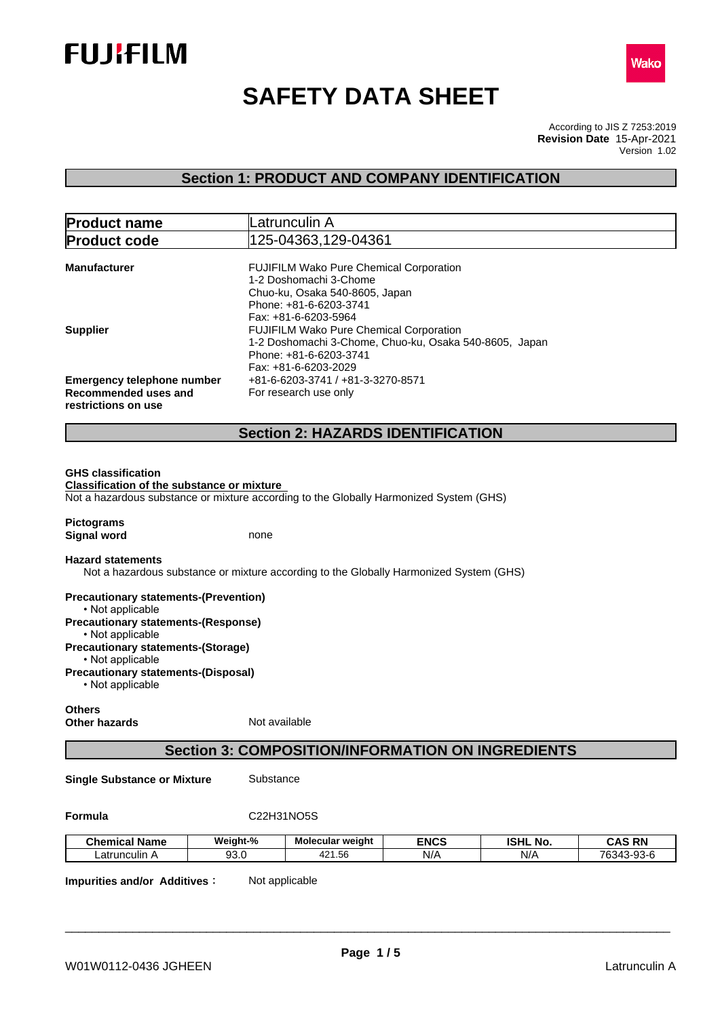



# **SAFETY DATA SHEET**

According to JIS Z 7253:2019 Version 1.02 **Revision Date** 15-Apr-2021

## **Section 1: PRODUCT AND COMPANY IDENTIFICATION**

| <b>Product name</b>                                            | Latrunculin A                                                                          |  |  |  |
|----------------------------------------------------------------|----------------------------------------------------------------------------------------|--|--|--|
| <b>Product code</b>                                            | 125-04363,129-04361                                                                    |  |  |  |
|                                                                |                                                                                        |  |  |  |
| <b>Manufacturer</b>                                            | FUJIFILM Wako Pure Chemical Corporation                                                |  |  |  |
|                                                                | 1-2 Doshomachi 3-Chome                                                                 |  |  |  |
|                                                                | Chuo-ku, Osaka 540-8605, Japan                                                         |  |  |  |
|                                                                | Phone: +81-6-6203-3741                                                                 |  |  |  |
|                                                                | Fax: +81-6-6203-5964                                                                   |  |  |  |
| <b>Supplier</b>                                                | FUJIFILM Wako Pure Chemical Corporation                                                |  |  |  |
|                                                                | 1-2 Doshomachi 3-Chome, Chuo-ku, Osaka 540-8605, Japan                                 |  |  |  |
|                                                                | Phone: +81-6-6203-3741                                                                 |  |  |  |
|                                                                | Fax: +81-6-6203-2029                                                                   |  |  |  |
| <b>Emergency telephone number</b>                              | +81-6-6203-3741 / +81-3-3270-8571                                                      |  |  |  |
| Recommended uses and                                           | For research use only                                                                  |  |  |  |
| restrictions on use                                            |                                                                                        |  |  |  |
|                                                                | <b>Section 2: HAZARDS IDENTIFICATION</b>                                               |  |  |  |
|                                                                |                                                                                        |  |  |  |
|                                                                |                                                                                        |  |  |  |
| <b>GHS classification</b>                                      |                                                                                        |  |  |  |
| <b>Classification of the substance or mixture</b>              |                                                                                        |  |  |  |
|                                                                | Not a hazardous substance or mixture according to the Globally Harmonized System (GHS) |  |  |  |
|                                                                |                                                                                        |  |  |  |
| <b>Pictograms</b>                                              |                                                                                        |  |  |  |
| <b>Signal word</b>                                             | none                                                                                   |  |  |  |
| <b>Hazard statements</b>                                       |                                                                                        |  |  |  |
|                                                                | Not a hazardous substance or mixture according to the Globally Harmonized System (GHS) |  |  |  |
| <b>Precautionary statements-(Prevention)</b>                   |                                                                                        |  |  |  |
| • Not applicable                                               |                                                                                        |  |  |  |
| <b>Precautionary statements-(Response)</b><br>• Not applicable |                                                                                        |  |  |  |
| <b>Precautionary statements-(Storage)</b>                      |                                                                                        |  |  |  |
| • Not applicable                                               |                                                                                        |  |  |  |
| <b>Precautionary statements-(Disposal)</b><br>• Not applicable |                                                                                        |  |  |  |
| <b>Others</b>                                                  |                                                                                        |  |  |  |
| <b>Other hazards</b>                                           | Not available                                                                          |  |  |  |
|                                                                |                                                                                        |  |  |  |
| <b>Section 3: COMPOSITION/INFORMATION ON INGREDIENTS</b>       |                                                                                        |  |  |  |
| .                                                              | $O1$ is a famour $\sim$                                                                |  |  |  |

**Single Substance or Mixture** Substance

#### **Formula** C22H31NO5S

| . .<br><b>Chemical Name</b> | Weiaht-%       | Molecular weight                             | <b>ENCS</b> | ונים<br>NO.<br>וחסו | <b>DN</b><br>л<br>-nr<br>unc |
|-----------------------------|----------------|----------------------------------------------|-------------|---------------------|------------------------------|
| Latrunculin A               | $\sim$<br>JU.U | $\sim$<br>، ص<br>.56<br>$\overline{a}$<br>74 | N/A         | N/A                 | 763.<br>$\sim$<br>∼-⊧<br>JJ. |

**Impurities and/or Additives:** Not applicable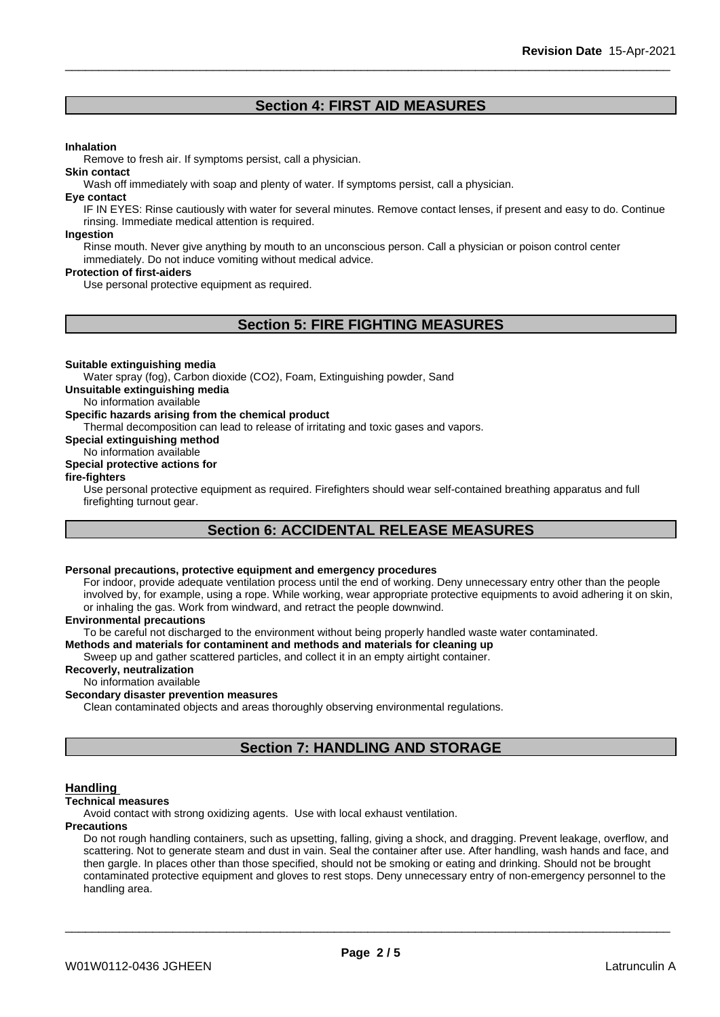### **Section 4: FIRST AID MEASURES**

#### **Inhalation**

Remove to fresh air. If symptoms persist, call a physician.

#### **Skin contact**

Wash off immediately with soap and plenty of water. If symptoms persist, call a physician.

#### **Eye contact**

IF IN EYES: Rinse cautiously with water for several minutes. Remove contact lenses, if present and easy to do. Continue rinsing. Immediate medical attention is required.

#### **Ingestion**

Rinse mouth. Never give anything by mouth to an unconscious person. Call a physician or poison control center immediately. Do not induce vomiting without medical advice.

#### **Protection of first-aiders**

Use personal protective equipment as required.

### **Section 5: FIRE FIGHTING MEASURES**

#### **Suitable extinguishing media**

Water spray (fog), Carbon dioxide (CO2), Foam, Extinguishing powder, Sand

**Unsuitable extinguishing media**

No information available

#### **Specific hazards arising from the chemical product**

Thermal decomposition can lead to release of irritating and toxic gases and vapors.

**Special extinguishing method**

No information available **Special protective actions for**

### **fire-fighters**

Use personal protective equipment as required.Firefighters should wear self-contained breathing apparatus and full firefighting turnout gear.

### **Section 6: ACCIDENTAL RELEASE MEASURES**

### **Personal precautions, protective equipment and emergency procedures**

For indoor, provide adequate ventilation process until the end of working. Deny unnecessary entry other than the people involved by, for example, using a rope. While working, wear appropriate protective equipments to avoid adhering it on skin, or inhaling the gas. Work from windward, and retract the people downwind.

#### **Environmental precautions**

To be careful not discharged to the environment without being properly handled waste water contaminated.

#### **Methods and materials for contaminent and methods and materials for cleaning up**

Sweep up and gather scattered particles, and collect it in an empty airtight container.

#### **Recoverly, neutralization**

No information available

#### **Secondary disaster prevention measures**

Clean contaminated objects and areas thoroughly observing environmental regulations.

### **Section 7: HANDLING AND STORAGE**

#### **Handling**

#### **Technical measures**

Avoid contact with strong oxidizing agents. Use with local exhaust ventilation.

#### **Precautions**

Do not rough handling containers, such as upsetting, falling, giving a shock, and dragging. Prevent leakage, overflow, and scattering. Not to generate steam and dust in vain. Seal the container after use. After handling, wash hands and face, and then gargle. In places other than those specified, should not be smoking or eating and drinking. Should not be brought contaminated protective equipment and gloves to rest stops. Deny unnecessary entry of non-emergency personnel to the handling area.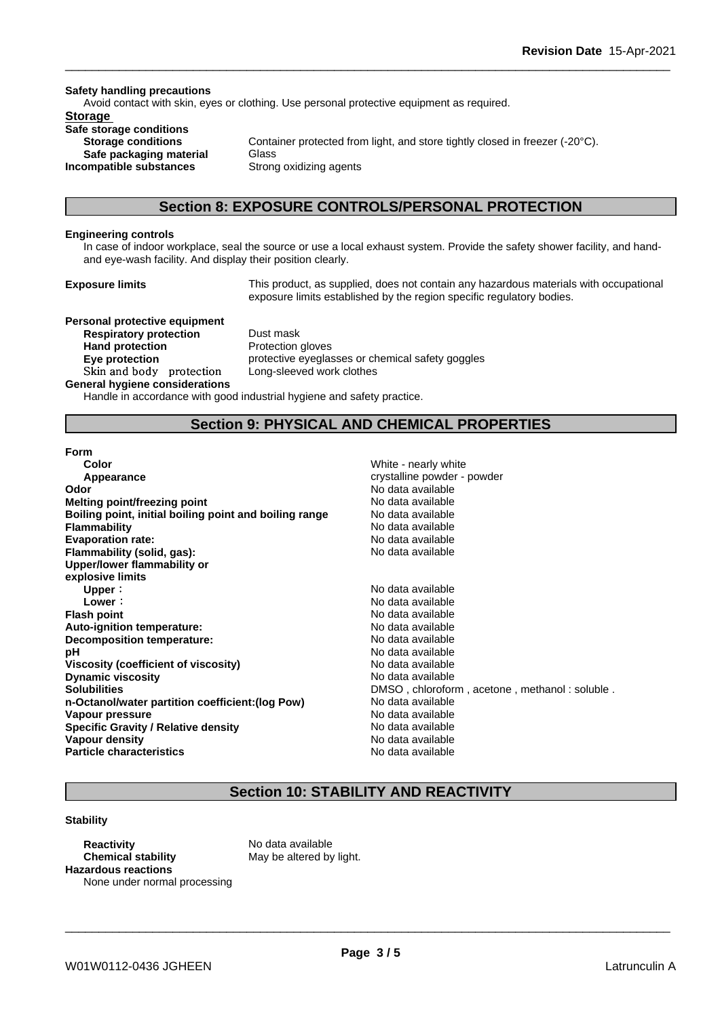#### **Safety handling precautions**

Avoid contact with skin, eyes or clothing. Use personal protective equipment as required.

### **Storage**

**Safe storage conditions Safe packaging material** Glass **Incompatible substances** Strong oxidizing agents

**Storage conditions** Container protected from light, and store tightly closed in freezer (-20°C).

### **Section 8: EXPOSURE CONTROLS/PERSONAL PROTECTION**

#### **Engineering controls**

In case of indoor workplace, seal the source or use a local exhaust system. Provide the safety shower facility, and handand eye-wash facility. And display their position clearly.

**Exposure limits** This product, as supplied, does not contain any hazardous materials with occupational exposure limits established by the region specific regulatory bodies.

**Personal protective equipment Respiratory protection** Dust mask **Hand protection** Protection gloves **Skinandbody protection** Long-sleeved work clothes

**Eye protection protective eyeglasses or chemical safety goggles** 

#### **General hygiene considerations**

Handle in accordance with good industrial hygiene and safety practice.

### **Section 9: PHYSICAL AND CHEMICAL PROPERTIES**

#### **Form**

| Color                                                  | White - nearly white                          |
|--------------------------------------------------------|-----------------------------------------------|
| Appearance                                             | crystalline powder - powder                   |
| Odor                                                   | No data available                             |
| Melting point/freezing point                           | No data available                             |
| Boiling point, initial boiling point and boiling range | No data available                             |
| <b>Flammability</b>                                    | No data available                             |
| <b>Evaporation rate:</b>                               | No data available                             |
| Flammability (solid, gas):                             | No data available                             |
| Upper/lower flammability or                            |                                               |
| explosive limits                                       |                                               |
| Upper:                                                 | No data available                             |
| Lower:                                                 | No data available                             |
| <b>Flash point</b>                                     | No data available                             |
| Auto-ignition temperature:                             | No data available                             |
| Decomposition temperature:                             | No data available                             |
| рH                                                     | No data available                             |
| <b>Viscosity (coefficient of viscosity)</b>            | No data available                             |
| <b>Dynamic viscosity</b>                               | No data available                             |
| <b>Solubilities</b>                                    | DMSO, chloroform, acetone, methanol: soluble. |
| n-Octanol/water partition coefficient: (log Pow)       | No data available                             |
| Vapour pressure                                        | No data available                             |
| <b>Specific Gravity / Relative density</b>             | No data available                             |
| Vapour density                                         | No data available                             |
| <b>Particle characteristics</b>                        | No data available                             |

### **Section 10: STABILITY AND REACTIVITY**

#### **Stability**

**Reactivity** No data available **Chemical stability** May be altered by light. **Hazardous reactions** None under normal processing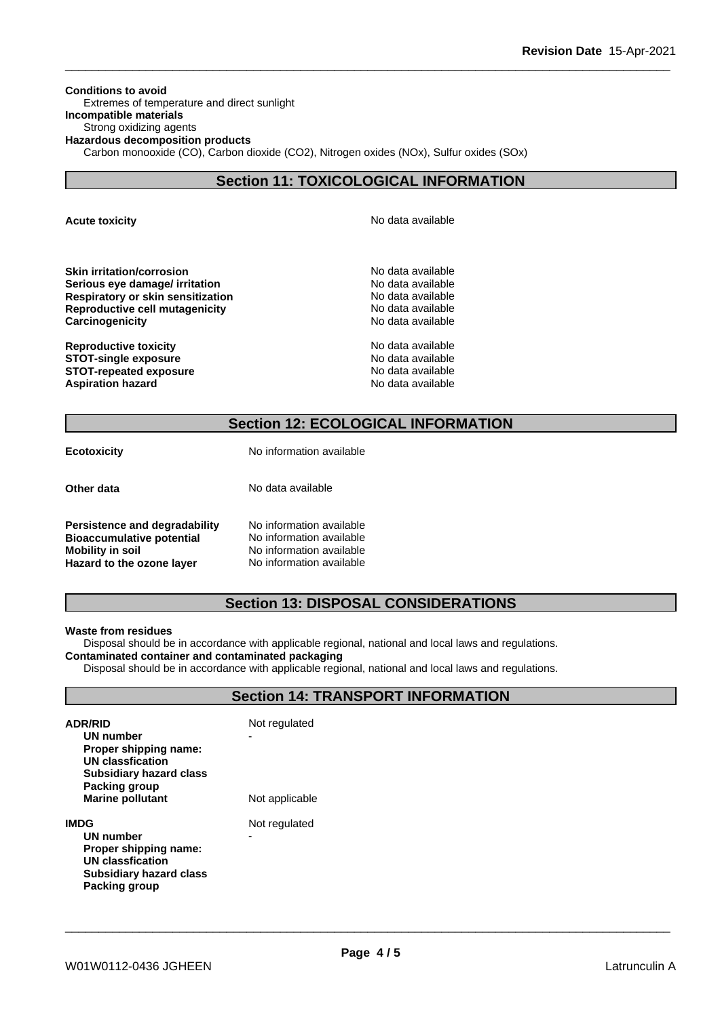**Conditions to avoid** Extremes of temperature and direct sunlight **Incompatible materials** Strong oxidizing agents **Hazardous decomposition products** Carbon monooxide (CO), Carbon dioxide (CO2), Nitrogen oxides (NOx), Sulfur oxides (SOx)

### **Section 11: TOXICOLOGICAL INFORMATION**

**Acute toxicity Acute toxicity Acute has a structure in the structure of**  $\mathbb{R}^n$  **No data available** 

**Skin irritation/corrosion** No data available **Serious eye damage/ irritation**<br> **Respiratory or skin sensitization**<br> **Respiratory or skin sensitization Respiratory or skin sensitization Reproductive cell mutagenicity** No data available **Carcinogenicity Carcinogenicity Carcinogenicity** 

**Reproductive toxicity No data available** No data available **STOT-single exposure**  $\qquad \qquad \qquad$  No data available **STOT-repeated exposure** No data available **Aspiration hazard No data available No data available No data available** 

### **Section 12: ECOLOGICAL INFORMATION**

**Ecotoxicity** No information available

**Other data** No data available

**Persistence and degradability** No information available **Bioaccumulative potential** No information available<br>**Mobility in soil** No information available No information available<br>No information available **Hazard** to the ozone layer

### **Section 13: DISPOSAL CONSIDERATIONS**

#### **Waste from residues**

Disposal should be in accordance with applicable regional, national and local laws and regulations. **Contaminated container and contaminated packaging**

Disposal should be in accordance with applicable regional, national and local laws and regulations.

### **Section 14: TRANSPORT INFORMATION**

| <b>ADR/RID</b><br>UN number<br>Proper shipping name:<br><b>UN classfication</b><br>Subsidiary hazard class<br>Packing group<br><b>Marine pollutant</b> | Not regulated<br>Not applicable |
|--------------------------------------------------------------------------------------------------------------------------------------------------------|---------------------------------|
| IMDG<br>UN number<br>Proper shipping name:<br>UN classfication<br>Subsidiary hazard class<br>Packing group                                             | Not regulated<br>-              |